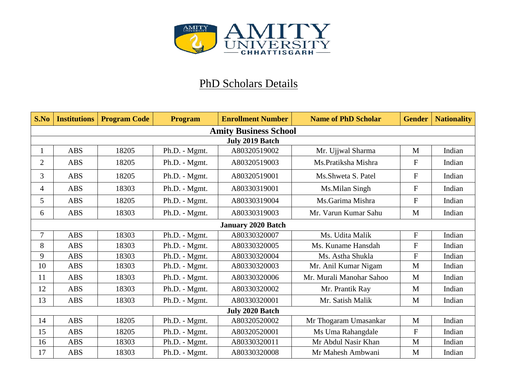

## PhD Scholars Details

| S.No           | <b>Institutions</b>          | <b>Program Code</b> | <b>Program</b> | <b>Enrollment Number</b> | <b>Name of PhD Scholar</b> | <b>Gender</b> | <b>Nationality</b> |  |  |  |
|----------------|------------------------------|---------------------|----------------|--------------------------|----------------------------|---------------|--------------------|--|--|--|
|                | <b>Amity Business School</b> |                     |                |                          |                            |               |                    |  |  |  |
|                | <b>July 2019 Batch</b>       |                     |                |                          |                            |               |                    |  |  |  |
| 1              | <b>ABS</b>                   | 18205               | Ph.D. - Mgmt.  | A80320519002             | Mr. Ujjwal Sharma          | M             | Indian             |  |  |  |
| $\overline{2}$ | <b>ABS</b>                   | 18205               | Ph.D. - Mgmt.  | A80320519003             | Ms.Pratiksha Mishra        | $\mathbf F$   | Indian             |  |  |  |
| 3              | <b>ABS</b>                   | 18205               | Ph.D. - Mgmt.  | A80320519001             | Ms.Shweta S. Patel         | ${\bf F}$     | Indian             |  |  |  |
| 4              | <b>ABS</b>                   | 18303               | Ph.D. - Mgmt.  | A80330319001             | Ms.Milan Singh             | $\mathbf F$   | Indian             |  |  |  |
| 5              | <b>ABS</b>                   | 18205               | Ph.D. - Mgmt.  | A80330319004             | Ms.Garima Mishra           | $\mathbf F$   | Indian             |  |  |  |
| 6              | <b>ABS</b>                   | 18303               | Ph.D. - Mgmt.  | A80330319003             | Mr. Varun Kumar Sahu       | M             | Indian             |  |  |  |
|                | <b>January 2020 Batch</b>    |                     |                |                          |                            |               |                    |  |  |  |
| $\overline{7}$ | <b>ABS</b>                   | 18303               | Ph.D. - Mgmt.  | A80330320007             | Ms. Udita Malik            | ${\bf F}$     | Indian             |  |  |  |
| 8              | <b>ABS</b>                   | 18303               | Ph.D. - Mgmt.  | A80330320005             | Ms. Kuname Hansdah         | $\mathbf F$   | Indian             |  |  |  |
| 9              | <b>ABS</b>                   | 18303               | Ph.D. - Mgmt.  | A80330320004             | Ms. Astha Shukla           | ${\bf F}$     | Indian             |  |  |  |
| 10             | <b>ABS</b>                   | 18303               | Ph.D. - Mgmt.  | A80330320003             | Mr. Anil Kumar Nigam       | M             | Indian             |  |  |  |
| 11             | <b>ABS</b>                   | 18303               | Ph.D. - Mgmt.  | A80330320006             | Mr. Murali Manohar Sahoo   | M             | Indian             |  |  |  |
| 12             | <b>ABS</b>                   | 18303               | Ph.D. - Mgmt.  | A80330320002             | Mr. Prantik Ray            | M             | Indian             |  |  |  |
| 13             | <b>ABS</b>                   | 18303               | Ph.D. - Mgmt.  | A80330320001             | Mr. Satish Malik           | M             | Indian             |  |  |  |
|                | <b>July 2020 Batch</b>       |                     |                |                          |                            |               |                    |  |  |  |
| 14             | <b>ABS</b>                   | 18205               | Ph.D. - Mgmt.  | A80320520002             | Mr Thogaram Umasankar      | M             | Indian             |  |  |  |
| 15             | <b>ABS</b>                   | 18205               | Ph.D. - Mgmt.  | A80320520001             | Ms Uma Rahangdale          | ${\bf F}$     | Indian             |  |  |  |
| 16             | <b>ABS</b>                   | 18303               | Ph.D. - Mgmt.  | A80330320011             | Mr Abdul Nasir Khan        | M             | Indian             |  |  |  |
| 17             | <b>ABS</b>                   | 18303               | Ph.D. - Mgmt.  | A80330320008             | Mr Mahesh Ambwani          | M             | Indian             |  |  |  |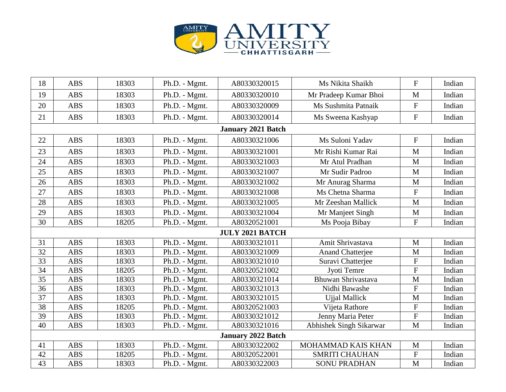

| 18                                                                                                          | <b>ABS</b>                | 18303 | Ph.D. - Mgmt.               | A80330320015           | Ms Nikita Shaikh        | $\mathbf{F}$              | Indian |  |  |  |
|-------------------------------------------------------------------------------------------------------------|---------------------------|-------|-----------------------------|------------------------|-------------------------|---------------------------|--------|--|--|--|
| 19                                                                                                          | <b>ABS</b>                | 18303 | Ph.D. - Mgmt.               | A80330320010           | Mr Pradeep Kumar Bhoi   | M                         | Indian |  |  |  |
| 20                                                                                                          | <b>ABS</b>                | 18303 | Ph.D. - Mgmt.               | A80330320009           | Ms Sushmita Patnaik     | ${\bf F}$                 | Indian |  |  |  |
| 21                                                                                                          | <b>ABS</b>                | 18303 | Ph.D. - Mgmt.               | A80330320014           | Ms Sweena Kashyap       | ${\bf F}$                 | Indian |  |  |  |
|                                                                                                             | <b>January 2021 Batch</b> |       |                             |                        |                         |                           |        |  |  |  |
| <b>ABS</b><br>18303<br>A80330321006<br>$\boldsymbol{F}$<br>22<br>Ph.D. - Mgmt.<br>Ms Suloni Yadav<br>Indian |                           |       |                             |                        |                         |                           |        |  |  |  |
| 23                                                                                                          | <b>ABS</b>                | 18303 | Ph.D. - Mgmt.               | A80330321001           | Mr Rishi Kumar Rai      | M                         | Indian |  |  |  |
| 24                                                                                                          | <b>ABS</b>                | 18303 | Ph.D. - Mgmt.               | A80330321003           | Mr Atul Pradhan         | M                         | Indian |  |  |  |
| 25                                                                                                          | <b>ABS</b>                | 18303 | Ph.D. - Mgmt.               | A80330321007           | Mr Sudir Padroo         | M                         | Indian |  |  |  |
| 26                                                                                                          | <b>ABS</b>                | 18303 | Ph.D. - Mgmt.               | A80330321002           | Mr Anurag Sharma        | M                         | Indian |  |  |  |
| 27                                                                                                          | <b>ABS</b>                | 18303 | Ph.D. - Mgmt.               | A80330321008           | Ms Chetna Sharma        | ${\bf F}$                 | Indian |  |  |  |
| 28                                                                                                          | <b>ABS</b>                | 18303 | Ph.D. - Mgmt.               | A80330321005           | Mr Zeeshan Mallick      | M                         | Indian |  |  |  |
| 29                                                                                                          | <b>ABS</b>                | 18303 | Ph.D. - Mgmt.               | A80330321004           | Mr Manjeet Singh        | M                         | Indian |  |  |  |
| 30                                                                                                          | <b>ABS</b>                | 18205 | Ph.D. - Mgmt.               | A80320521001           | Ms Pooja Bibay          | $\boldsymbol{\mathrm{F}}$ | Indian |  |  |  |
|                                                                                                             |                           |       |                             | <b>JULY 2021 BATCH</b> |                         |                           |        |  |  |  |
| 31                                                                                                          | <b>ABS</b>                | 18303 | Ph.D. - Mgmt.               | A80330321011           | Amit Shrivastava        | M                         | Indian |  |  |  |
| 32                                                                                                          | <b>ABS</b>                | 18303 | Ph.D. - Mgmt.               | A80330321009           | <b>Anand Chatterjee</b> | $\mathbf{M}$              | Indian |  |  |  |
| 33                                                                                                          | <b>ABS</b>                | 18303 | Ph.D. - Mgmt.               | A80330321010           | Suravi Chatterjee       | ${\bf F}$                 | Indian |  |  |  |
| 34                                                                                                          | <b>ABS</b>                | 18205 | $\overline{Ph}$ .D. - Mgmt. | A80320521002           | Jyoti Temre             | $\overline{F}$            | Indian |  |  |  |
| 35                                                                                                          | <b>ABS</b>                | 18303 | Ph.D. - Mgmt.               | A80330321014           | Bhuwan Shrivastava      | $\mathbf{M}$              | Indian |  |  |  |
| 36                                                                                                          | <b>ABS</b>                | 18303 | Ph.D. - Mgmt.               | A80330321013           | Nidhi Bawashe           | ${\bf F}$                 | Indian |  |  |  |
| 37                                                                                                          | <b>ABS</b>                | 18303 | Ph.D. - Mgmt.               | A80330321015           | <b>Ujjal Mallick</b>    | M                         | Indian |  |  |  |
| 38                                                                                                          | <b>ABS</b>                | 18205 | Ph.D. - Mgmt.               | A80320521003           | Vijeta Rathore          | ${\bf F}$                 | Indian |  |  |  |
| 39                                                                                                          | <b>ABS</b>                | 18303 | Ph.D. - Mgmt.               | A80330321012           | Jenny Maria Peter       | ${\bf F}$                 | Indian |  |  |  |
| 40                                                                                                          | <b>ABS</b>                | 18303 | Ph.D. - Mgmt.               | A80330321016           | Abhishek Singh Sikarwar | M                         | Indian |  |  |  |
|                                                                                                             | <b>January 2022 Batch</b> |       |                             |                        |                         |                           |        |  |  |  |
| 41                                                                                                          | <b>ABS</b>                | 18303 | Ph.D. - Mgmt.               | A80330322002           | MOHAMMAD KAIS KHAN      | M                         | Indian |  |  |  |
| 42                                                                                                          | <b>ABS</b>                | 18205 | Ph.D. - Mgmt.               | A80320522001           | <b>SMRITI CHAUHAN</b>   | $\boldsymbol{\mathrm{F}}$ | Indian |  |  |  |
| 43                                                                                                          | <b>ABS</b>                | 18303 | Ph.D. - Mgmt.               | A80330322003           | <b>SONU PRADHAN</b>     | $\mathbf{M}$              | Indian |  |  |  |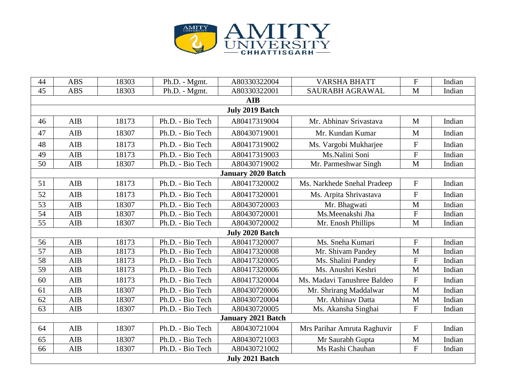

| 44                        | <b>ABS</b>      | 18303 | Ph.D. - Mgmt.    | A80330322004              | <b>VARSHA BHATT</b>         | $\mathbf{F}$              | Indian |  |  |
|---------------------------|-----------------|-------|------------------|---------------------------|-----------------------------|---------------------------|--------|--|--|
| 45                        | <b>ABS</b>      | 18303 | Ph.D. - Mgmt.    | A80330322001              | <b>SAURABH AGRAWAL</b>      | M                         | Indian |  |  |
|                           |                 |       |                  | $\mathbf{AIB}$            |                             |                           |        |  |  |
| <b>July 2019 Batch</b>    |                 |       |                  |                           |                             |                           |        |  |  |
| 46                        | AIB             | 18173 | Ph.D. - Bio Tech | A80417319004              | Mr. Abhinav Srivastava      | M                         | Indian |  |  |
| 47                        | AIB             | 18307 | Ph.D. - Bio Tech | A80430719001              | Mr. Kundan Kumar            | M                         | Indian |  |  |
| 48                        | <b>AIB</b>      | 18173 | Ph.D. - Bio Tech | A80417319002              | Ms. Vargobi Mukharjee       | ${\bf F}$                 | Indian |  |  |
| 49                        | AIB             | 18173 | Ph.D. - Bio Tech | A80417319003              | Ms.Nalini Soni              | ${\bf F}$                 | Indian |  |  |
| 50                        | <b>AIB</b>      | 18307 | Ph.D. - Bio Tech | A80430719002              | Mr. Parmeshwar Singh        | M                         | Indian |  |  |
|                           |                 |       |                  | <b>January 2020 Batch</b> |                             |                           |        |  |  |
| 51                        | AIB             | 18173 | Ph.D. - Bio Tech | A80417320002              | Ms. Narkhede Snehal Pradeep | $\mathbf F$               | Indian |  |  |
| 52                        | AIB             | 18173 | Ph.D. - Bio Tech | A80417320001              | Ms. Arpita Shrivastava      | $\mathbf F$               | Indian |  |  |
| 53                        | <b>AIB</b>      | 18307 | Ph.D. - Bio Tech | A80430720003              | Mr. Bhagwati                | M                         | Indian |  |  |
| 54                        | AIB             | 18307 | Ph.D. - Bio Tech | A80430720001              | Ms.Meenakshi Jha            | $\boldsymbol{\mathrm{F}}$ | Indian |  |  |
| 55                        | AIB             | 18307 | Ph.D. - Bio Tech | A80430720002              | Mr. Enosh Phillips          | M                         | Indian |  |  |
|                           |                 |       |                  | July 2020 Batch           |                             |                           |        |  |  |
| 56                        | AIB             | 18173 | Ph.D. - Bio Tech | A80417320007              | Ms. Sneha Kumari            | $\mathbf{F}$              | Indian |  |  |
| 57                        | AIB             | 18173 | Ph.D. - Bio Tech | A80417320008              | Mr. Shivam Pandey           | $\mathbf{M}$              | Indian |  |  |
| 58                        | <b>AIB</b>      | 18173 | Ph.D. - Bio Tech | A80417320005              | Ms. Shalini Pandey          | ${\bf F}$                 | Indian |  |  |
| 59                        | AIB             | 18173 | Ph.D. - Bio Tech | A80417320006              | Ms. Anushri Keshri          | M                         | Indian |  |  |
| 60                        | <b>AIB</b>      | 18173 | Ph.D. - Bio Tech | A80417320004              | Ms. Madavi Tanushree Baldeo | $\mathbf{F}$              | Indian |  |  |
| 61                        | <b>AIB</b>      | 18307 | Ph.D. - Bio Tech | A80430720006              | Mr. Shrirang Maddalwar      | $\mathbf{M}$              | Indian |  |  |
| 62                        | AIB             | 18307 | Ph.D. - Bio Tech | A80430720004              | Mr. Abhinav Datta           | M                         | Indian |  |  |
| 63                        | <b>AIB</b>      | 18307 | Ph.D. - Bio Tech | A80430720005              | Ms. Akansha Singhai         | $\overline{F}$            | Indian |  |  |
| <b>January 2021 Batch</b> |                 |       |                  |                           |                             |                           |        |  |  |
| 64                        | <b>AIB</b>      | 18307 | Ph.D. - Bio Tech | A80430721004              | Mrs Parihar Amruta Raghuvir | $\mathbf F$               | Indian |  |  |
| 65                        | <b>AIB</b>      | 18307 | Ph.D. - Bio Tech | A80430721003              | Mr Saurabh Gupta            | M                         | Indian |  |  |
| 66                        | <b>AIB</b>      | 18307 | Ph.D. - Bio Tech | A80430721002              | Ms Rashi Chauhan            | $\overline{F}$            | Indian |  |  |
|                           | July 2021 Batch |       |                  |                           |                             |                           |        |  |  |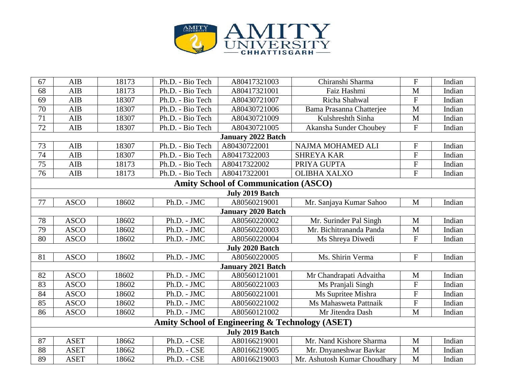

| 67                                              | AIB         | 18173 | Ph.D. - Bio Tech | A80417321003                                | Chiranshi Sharma             | $\mathbf F$    | Indian |  |
|-------------------------------------------------|-------------|-------|------------------|---------------------------------------------|------------------------------|----------------|--------|--|
| 68                                              | AIB         | 18173 | Ph.D. - Bio Tech | A80417321001                                | Faiz Hashmi                  | M              | Indian |  |
| 69                                              | AIB         | 18307 | Ph.D. - Bio Tech | A80430721007                                | Richa Shahwal                | ${\bf F}$      | Indian |  |
| 70                                              | AIB         | 18307 | Ph.D. - Bio Tech | A80430721006                                | Bama Prasanna Chatterjee     | M              | Indian |  |
| 71                                              | <b>AIB</b>  | 18307 | Ph.D. - Bio Tech | A80430721009                                | Kulshreshth Sinha            | M              | Indian |  |
| 72                                              | AIB         | 18307 | Ph.D. - Bio Tech | A80430721005                                | Akansha Sunder Choubey       | $\mathbf F$    | Indian |  |
|                                                 |             |       |                  | <b>January 2022 Batch</b>                   |                              |                |        |  |
| 73                                              | AIB         | 18307 | Ph.D. - Bio Tech | A80430722001                                | NAJMA MOHAMED ALI            | ${\bf F}$      | Indian |  |
| 74                                              | <b>AIB</b>  | 18307 | Ph.D. - Bio Tech | A80417322003                                | <b>SHREYA KAR</b>            | ${\bf F}$      | Indian |  |
| 75                                              | AIB         | 18173 | Ph.D. - Bio Tech | A80417322002                                | PRIYA GUPTA                  | $\overline{F}$ | Indian |  |
| 76                                              | AIB         | 18173 | Ph.D. - Bio Tech | A80417322001                                | <b>OLIBHA XALXO</b>          | $\overline{F}$ | Indian |  |
|                                                 |             |       |                  | <b>Amity School of Communication (ASCO)</b> |                              |                |        |  |
| <b>July 2019 Batch</b>                          |             |       |                  |                                             |                              |                |        |  |
| 77                                              | <b>ASCO</b> | 18602 | Ph.D. - JMC      | A80560219001                                | Mr. Sanjaya Kumar Sahoo      | M              | Indian |  |
|                                                 |             |       |                  | <b>January 2020 Batch</b>                   |                              |                |        |  |
| 78                                              | <b>ASCO</b> | 18602 | Ph.D. - JMC      | A80560220002                                | Mr. Surinder Pal Singh       | M              | Indian |  |
| 79                                              | <b>ASCO</b> | 18602 | Ph.D. - JMC      | A80560220003                                | Mr. Bichitrananda Panda      | M              | Indian |  |
| 80                                              | <b>ASCO</b> | 18602 | Ph.D. - JMC      | A80560220004                                | Ms Shreya Diwedi             | ${\bf F}$      | Indian |  |
|                                                 |             |       |                  | <b>July 2020 Batch</b>                      |                              |                |        |  |
| 81                                              | <b>ASCO</b> | 18602 | Ph.D. - JMC      | A80560220005                                | Ms. Shirin Verma             | ${\bf F}$      | Indian |  |
|                                                 |             |       |                  | <b>January 2021 Batch</b>                   |                              |                |        |  |
| 82                                              | <b>ASCO</b> | 18602 | Ph.D. - JMC      | A80560121001                                | Mr Chandrapati Advaitha      | M              | Indian |  |
| 83                                              | <b>ASCO</b> | 18602 | Ph.D. - JMC      | A80560221003                                | Ms Pranjali Singh            | $\mathbf F$    | Indian |  |
| 84                                              | <b>ASCO</b> | 18602 | Ph.D. - JMC      | A80560221001                                | Ms Supritee Mishra           | ${\bf F}$      | Indian |  |
| 85                                              | <b>ASCO</b> | 18602 | Ph.D. - JMC      | A80560221002                                | Ms Mahasweta Pattnaik        | $\overline{F}$ | Indian |  |
| 86                                              | <b>ASCO</b> | 18602 | Ph.D. - JMC      | A80560121002                                | Mr Jitendra Dash             | $\mathbf{M}$   | Indian |  |
| Amity School of Engineering & Technology (ASET) |             |       |                  |                                             |                              |                |        |  |
| <b>July 2019 Batch</b>                          |             |       |                  |                                             |                              |                |        |  |
| 87                                              | <b>ASET</b> | 18662 | Ph.D. - CSE      | A80166219001                                | Mr. Nand Kishore Sharma      | M              | Indian |  |
| 88                                              | <b>ASET</b> | 18662 | Ph.D. - CSE      | A80166219005                                | Mr. Dnyaneshwar Bavkar       | M              | Indian |  |
| 89                                              | <b>ASET</b> | 18662 | Ph.D. - CSE      | A80166219003                                | Mr. Ashutosh Kumar Choudhary | M              | Indian |  |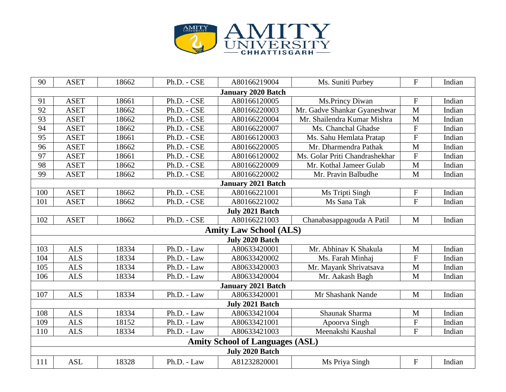

| 90                                     | <b>ASET</b>     | 18662 | Ph.D. - CSE | A80166219004                  | Ms. Suniti Purbey              | $\mathbf{F}$              | Indian |  |  |  |
|----------------------------------------|-----------------|-------|-------------|-------------------------------|--------------------------------|---------------------------|--------|--|--|--|
| <b>January 2020 Batch</b>              |                 |       |             |                               |                                |                           |        |  |  |  |
| 91                                     | <b>ASET</b>     | 18661 | Ph.D. - CSE | A80166120005                  | Ms.Princy Diwan                | $\boldsymbol{\mathrm{F}}$ | Indian |  |  |  |
| 92                                     | <b>ASET</b>     | 18662 | Ph.D. - CSE | A80166220003                  | Mr. Gadve Shankar Gyaneshwar   | M                         | Indian |  |  |  |
| 93                                     | <b>ASET</b>     | 18662 | Ph.D. - CSE | A80166220004                  | Mr. Shailendra Kumar Mishra    | $\mathbf M$               | Indian |  |  |  |
| 94                                     | <b>ASET</b>     | 18662 | Ph.D. - CSE | A80166220007                  | Ms. Chanchal Ghadse            | $\overline{F}$            | Indian |  |  |  |
| 95                                     | <b>ASET</b>     | 18661 | Ph.D. - CSE | A80166120003                  | Ms. Sahu Hemlata Pratap        | $\boldsymbol{\mathrm{F}}$ | Indian |  |  |  |
| 96                                     | <b>ASET</b>     | 18662 | Ph.D. - CSE | A80166220005                  | Mr. Dharmendra Pathak          | $\mathbf M$               | Indian |  |  |  |
| 97                                     | <b>ASET</b>     | 18661 | Ph.D. - CSE | A80166120002                  | Ms. Golar Priti Chandrashekhar | $\overline{F}$            | Indian |  |  |  |
| 98                                     | <b>ASET</b>     | 18662 | Ph.D. - CSE | A80166220009                  | Mr. Kothal Jameer Gulab        | M                         | Indian |  |  |  |
| 99                                     | <b>ASET</b>     | 18662 | Ph.D. - CSE | A80166220002                  | Mr. Pravin Balbudhe            | M                         | Indian |  |  |  |
|                                        |                 |       |             | <b>January 2021 Batch</b>     |                                |                           |        |  |  |  |
| 100                                    | <b>ASET</b>     | 18662 | Ph.D. - CSE | A80166221001                  | Ms Tripti Singh                | $\boldsymbol{\mathrm{F}}$ | Indian |  |  |  |
| 101                                    | <b>ASET</b>     | 18662 | Ph.D. - CSE | A80166221002                  | Ms Sana Tak                    | $\mathbf{F}$              | Indian |  |  |  |
|                                        | July 2021 Batch |       |             |                               |                                |                           |        |  |  |  |
| 102                                    | <b>ASET</b>     | 18662 | Ph.D. - CSE | A80166221003                  | Chanabasappagouda A Patil      | $\mathbf M$               | Indian |  |  |  |
|                                        |                 |       |             | <b>Amity Law School (ALS)</b> |                                |                           |        |  |  |  |
|                                        |                 |       |             | July 2020 Batch               |                                |                           |        |  |  |  |
| 103                                    | <b>ALS</b>      | 18334 | Ph.D. - Law | A80633420001                  | Mr. Abhinav K Shakula          | M                         | Indian |  |  |  |
| 104                                    | <b>ALS</b>      | 18334 | Ph.D. - Law | A80633420002                  | Ms. Farah Minhaj               | $\mathbf{F}$              | Indian |  |  |  |
| 105                                    | <b>ALS</b>      | 18334 | Ph.D. - Law | A80633420003                  | Mr. Mayank Shrivatsava         | M                         | Indian |  |  |  |
| 106                                    | <b>ALS</b>      | 18334 | Ph.D. - Law | A80633420004                  | Mr. Aakash Bagh                | M                         | Indian |  |  |  |
|                                        |                 |       |             | <b>January 2021 Batch</b>     |                                |                           |        |  |  |  |
| 107                                    | <b>ALS</b>      | 18334 | Ph.D. - Law | A80633420001                  | Mr Shashank Nande              | M                         | Indian |  |  |  |
|                                        |                 |       |             | July 2021 Batch               |                                |                           |        |  |  |  |
| 108                                    | <b>ALS</b>      | 18334 | Ph.D. - Law | A80633421004                  | Shaunak Sharma                 | M                         | Indian |  |  |  |
| 109                                    | <b>ALS</b>      | 18152 | Ph.D. - Law | A80633421001                  | Apoorva Singh                  | ${\bf F}$                 | Indian |  |  |  |
| 110                                    | <b>ALS</b>      | 18334 | Ph.D. - Law | A80633421003                  | Meenakshi Kaushal              | ${\bf F}$                 | Indian |  |  |  |
| <b>Amity School of Languages (ASL)</b> |                 |       |             |                               |                                |                           |        |  |  |  |
|                                        |                 |       |             | <b>July 2020 Batch</b>        |                                |                           |        |  |  |  |
| 111                                    | <b>ASL</b>      | 18328 | Ph.D. - Law | A81232820001                  | Ms Priya Singh                 | $\mathbf F$               | Indian |  |  |  |